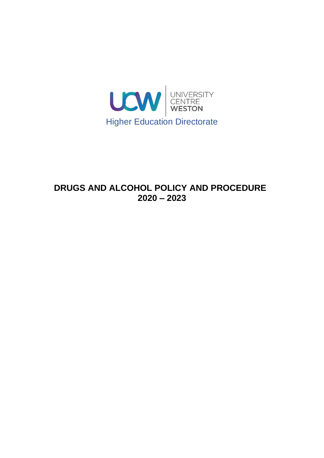

# **DRUGS AND ALCOHOL POLICY AND PROCEDURE 2020 – 2023**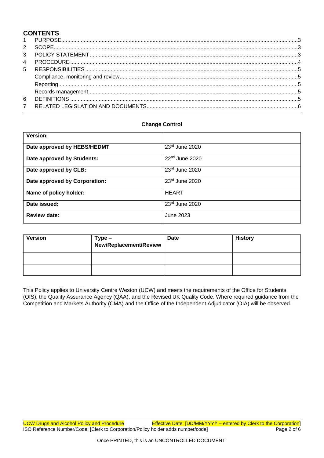# **CONTENTS**

#### **Change Control**

| Version:                      |                  |
|-------------------------------|------------------|
| Date approved by HEBS/HEDMT   | 23rd June 2020   |
| Date approved by Students:    | $22nd$ June 2020 |
| Date approved by CLB:         | $23rd$ June 2020 |
| Date approved by Corporation: | 23rd June 2020   |
| Name of policy holder:        | <b>HEART</b>     |
| Date issued:                  | 23rd June 2020   |
| <b>Review date:</b>           | June 2023        |

| <b>Version</b> | Type –<br>New/Replacement/Review | <b>Date</b> | <b>History</b> |
|----------------|----------------------------------|-------------|----------------|
|                |                                  |             |                |
|                |                                  |             |                |

This Policy applies to University Centre Weston (UCW) and meets the requirements of the Office for Students (OfS), the Quality Assurance Agency (QAA), and the Revised UK Quality Code. Where required guidance from the Competition and Markets Authority (CMA) and the Office of the Independent Adjudicator (OIA) will be observed.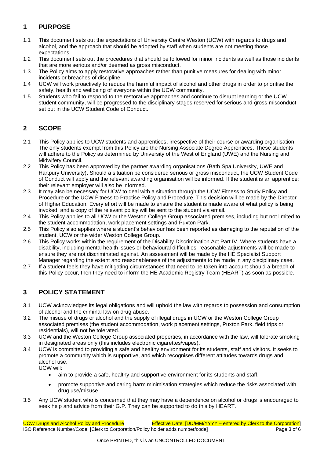## <span id="page-2-0"></span>**1 PURPOSE**

- 1.1 This document sets out the expectations of University Centre Weston (UCW) with regards to drugs and alcohol, and the approach that should be adopted by staff when students are not meeting those expectations.
- 1.2 This document sets out the procedures that should be followed for minor incidents as well as those incidents that are more serious and/or deemed as gross misconduct.
- 1.3 The Policy aims to apply restorative approaches rather than punitive measures for dealing with minor incidents or breaches of discipline.
- 1.4 UCW will work proactively to reduce the harmful impact of alcohol and other drugs in order to prioritise the safety, health and wellbeing of everyone within the UCW community.
- 1.5 Students who fail to respond to the restorative approaches and continue to disrupt learning or the UCW student community, will be progressed to the disciplinary stages reserved for serious and gross misconduct set out in the UCW Student Code of Conduct.

## <span id="page-2-1"></span>**2 SCOPE**

- 2.1 This Policy applies to UCW students and apprentices, irrespective of their course or awarding organisation. The only students exempt from this Policy are the Nursing Associate Degree Apprentices. These students will adhere to the Policy as determined by University of the West of England (UWE) and the Nursing and Midwifery Council.
- 2.2 This Policy has been approved by the partner awarding organisations (Bath Spa University, UWE and Hartpury University). Should a situation be considered serious or gross misconduct, the UCW Student Code of Conduct will apply and the relevant awarding organisation will be informed. If the student is an apprentice; their relevant employer will also be informed.
- 2.3 It may also be necessary for UCW to deal with a situation through the UCW Fitness to Study Policy and Procedure or the UCW Fitness to Practise Policy and Procedure. This decision will be made by the Director of Higher Education. Every effort will be made to ensure the student is made aware of what policy is being invoked, and a copy of the relevant policy will be sent to the student via email.
- 2.4 This Policy applies to all UCW or the Weston College Group associated premises, including but not limited to the student accommodation, work placement settings and Puxton Park.
- 2.5 This Policy also applies where a student's behaviour has been reported as damaging to the reputation of the student, UCW or the wider Weston College Group.
- 2.6 This Policy works within the requirement of the Disability Discrimination Act Part IV. Where students have a disability, including mental health issues or behavioural difficulties, reasonable adjustments will be made to ensure they are not discriminated against. An assessment will be made by the HE Specialist Support Manager regarding the extent and reasonableness of the adjustments to be made in any disciplinary case.
- 2.7 If a student feels they have mitigating circumstances that need to be taken into account should a breach of this Policy occur, then they need to inform the HE Academic Registry Team (HEART) as soon as possible.

## <span id="page-2-2"></span>**3 POLICY STATEMENT**

- 3.1 UCW acknowledges its legal obligations and will uphold the law with regards to possession and consumption of alcohol and the criminal law on drug abuse.
- 3.2 The misuse of drugs or alcohol and the supply of illegal drugs in UCW or the Weston College Group associated premises (the student accommodation, work placement settings, Puxton Park, field trips or residentials), will not be tolerated.
- 3.3 UCW and the Weston College Group associated properties, in accordance with the law, will tolerate smoking in designated areas only (this includes electronic cigarettes/vapes).
- 3.4 UCW is committed to providing a safe and healthy environment for its students, staff and visitors. It seeks to promote a community which is supportive, and which recognises different attitudes towards drugs and alcohol use. UCW will:
	- aim to provide a safe, healthy and supportive environment for its students and staff,
	- promote supportive and caring harm minimisation strategies which reduce the risks associated with drug use/misuse.
- 3.5 Any UCW student who is concerned that they may have a dependence on alcohol or drugs is encouraged to seek help and advice from their G.P. They can be supported to do this by HEART.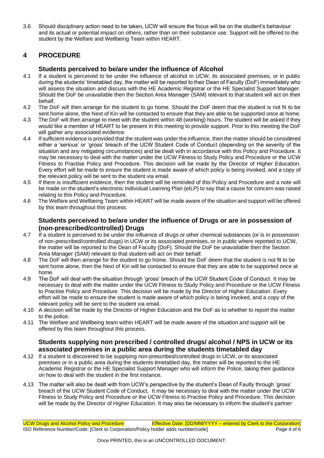3.6 Should disciplinary action need to be taken, UCW will ensure the focus will be on the student's behaviour and its actual or potential impact on others, rather than on their substance use. Support will be offered to the student by the Welfare and Wellbeing Team within HEART.

## <span id="page-3-0"></span>**4 PROCEDURE**

#### **Students perceived to be/are under the influence of Alcohol**

- 4.1 If a student is perceived to be under the influence of alcohol in UCW, its associated premises, or in public during the students' timetabled day, the matter will be reported to their Dean of Faculty (DoF) immediately who will assess the situation and discuss with the HE Academic Registrar or the HE Specialist Support Manager. Should the DoF be unavailable then the Section Area Manager (SAM) relevant to that student will act on their behalf.
- 4.2 The DoF will then arrange for the student to go home. Should the DoF deem that the student is not fit to be sent home alone, tthe Next of Kin will be contacted to ensure that they are able to be supported once at home.
- 4.3 The DoF will then arrange to meet with the student within 48 (working) hours. The student will be asked if they would like a member of HEART to be present in this meeting to provide support. Prior to this meeting the DoF will gather any associated evidence.
- 4.4 If sufficient evidence is provided that the student was under the influence, then the matter should be considered either a 'serious' or 'gross' breach of the UCW Student Code of Conduct (depending on the severity of the situation and any mitigating circumstances) and be dealt with in accordance with this Policy and Procedure. It may be necessary to deal with the matter under the UCW Fitness to Study Policy and Procedure or the UCW Fitness to Practise Policy and Procedure. This decision will be made by the Director of Higher Education. Every effort will be made to ensure the student is made aware of which policy is being invoked, and a copy of the relevant policy will be sent to the student via email.
- 4.5 If there is insufficient evidence, then the student will be reminded of this Policy and Procedure and a note will be made on the student's electronic Individual Learning Plan (eILP) to say that a cause for concern was raised relating to this Policy and Procedure.
- 4.6 The Welfare and Wellbeing Team within HEART will be made aware of the situation and support will be offered by this team throughout this process.

#### **Students perceived to be/are under the influence of Drugs or are in possession of (non-prescribed/controlled) Drugs**

- 4.7 If a student is perceived to be under the influence of drugs or other chemical substances (or is in possession of non-prescribed/controlled drugs) in UCW or its associated premises, or in public where reported to UCW, the matter will be reported to the Dean of Faculty (DoF). Should the DoF be unavailable then the Section Area Manager (SAM) relevant to that student will act on their behalf.
- 4.8 The DoF will then arrange for the student to go home. Should the DoF deem that the student is not fit to be sent home alone, then the Next of Kin will be contacted to ensure that they are able to be supported once at home.
- 4.9 The DoF will deal with the situation through 'gross' breach of the UCW Student Code of Conduct. It may be necessary to deal with the matter under the UCW Fitness to Study Policy and Procedure or the UCW Fitness to Practise Policy and Procedure. This decision will be made by the Director of Higher Education. Every effort will be made to ensure the student is made aware of which policy is being invoked, and a copy of the relevant policy will be sent to the student via email.
- 4.10 A decision will be made by the Director of Higher Education and the DoF as to whether to report the matter to the police.
- 4.11 The Welfare and Wellbeing team within HEART will be made aware of the situation and support will be offered by this team throughout this process.

#### **Students supplying non prescribed / controlled drugs/ alcohol / NPS in UCW or its associated premises in a public area during the students timetabled day**

- 4.12 If a student is discovered to be supplying non-prescribed/controlled drugs in UCW, or its associated premises or in a public area during the students timetabled day, the matter will be reported to the HE Academic Registrar or the HE Specialist Support Manager who will inform the Police, taking their guidance on how to deal with the student in the first instance.
- 4.13 The matter will also be dealt with from UCW's perspective by the student's Dean of Faulty through 'gross' breach of the UCW Student Code of Conduct. It may be necessary to deal with the matter under the UCW Fitness to Study Policy and Procedure or the UCW Fitness to Practise Policy and Procedure. This decision will be made by the Director of Higher Education. It may also be necessary to inform the student's partner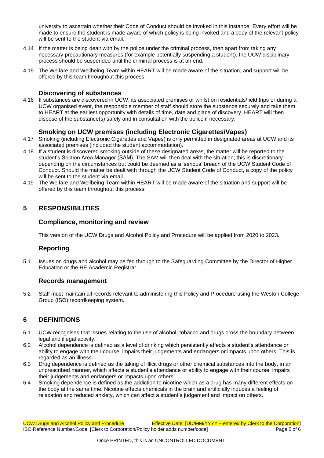university to ascertain whether their Code of Conduct should be invoked in this instance. Every effort will be made to ensure the student is made aware of which policy is being invoked and a copy of the relevant policy will be sent to the student via email.

- 4.14 If the matter is being dealt with by the police under the criminal process, then apart from taking any necessary precautionary measures (for example potentially suspending a student), the UCW disciplinary process should be suspended until the criminal process is at an end.
- 4.15 The Welfare and Wellbeing Team within HEART will be made aware of the situation, and support will be offered by this team throughout this process.

#### **Discovering of substances**

4.16 If substances are discovered in UCW, its associated premises or whilst on residentials/field trips or during a UCW organised event, the responsible member of staff should store the substance securely and take them to HEART at the earliest opportunity with details of time, date and place of discovery. HEART will then dispose of the substance(s) safely and in consultation with the police if necessary.

#### **Smoking on UCW premises (including Electronic Cigarettes/Vapes)**

- 4.17 Smoking (including Electronic Cigarettes and Vapes) is only permitted in designated areas at UCW and its associated premises (included the student accommodation).
- 4.18 If a student is discovered smoking outside of these designated areas, the matter will be reported to the student's Section Area Manager (SAM). The SAM will then deal with the situation; this is discretionary depending on the circumstances but could be deemed as a 'serious' breach of the UCW Student Code of Conduct. Should the matter be dealt with through the UCW Student Code of Conduct, a copy of the policy will be sent to the student via email.
- 4.19 The Welfare and Wellbeing Team within HEART will be made aware of the situation and support will be offered by this team throughout this process.

#### <span id="page-4-1"></span><span id="page-4-0"></span>**5 RESPONSIBILITIES**

#### **Compliance, monitoring and review**

This version of the UCW Drugs and Alcohol Policy and Procedure will be applied from 2020 to 2023.

#### **Reporting**

<span id="page-4-2"></span>5.1 Issues on drugs and alcohol may be fed through to the Safeguarding Committee by the Director of Higher Education or the HE Academic Registrar.

#### **Records management**

<span id="page-4-3"></span>5.2 Staff must maintain all records relevant to administering this Policy and Procedure using the Weston College Group (ISO) recordkeeping system.

#### <span id="page-4-4"></span>**6 DEFINITIONS**

- 6.1 UCW recognises that issues relating to the use of alcohol, tobacco and drugs cross the boundary between legal and illegal activity.
- 6.2 Alcohol dependence is defined as a level of drinking which persistently affects a student's attendance or ability to engage with their course, impairs their judgements and endangers or impacts upon others. This is regarded as an illness.
- 6.3 Drug dependence is defined as the taking of illicit drugs or other chemical substances into the body, in an unprescribed manner, which affects a student's attendance or ability to engage with their course, impairs their judgements and endangers or impacts upon others.
- 6.4 Smoking dependence is defined as the addiction to nicotine which as a drug has many different effects on the body at the same time. Nicotine effects chemicals in the brain and artificially induces a feeling of relaxation and reduced anxiety, which can affect a student's judgement and impact on others.